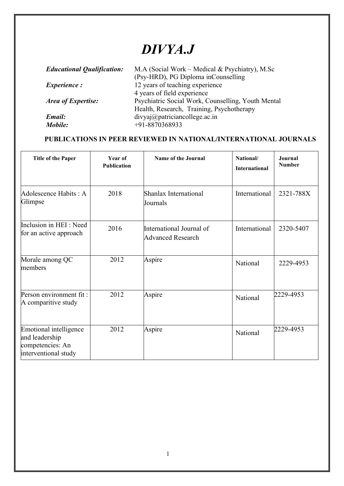## *DIVYA.J*

| <b>Educational Qualification:</b> | M.A (Social Work – Medical & Psychiatry), M.Sc                         |
|-----------------------------------|------------------------------------------------------------------------|
| <i>Experience:</i>                | (Psy-HRD), PG Diploma inCounselling<br>12 years of teaching experience |
|                                   | 4 years of field experience                                            |
| <b>Area of Expertise:</b>         | Psychiatric Social Work, Counselling, Youth Mental                     |
|                                   | Health, Research, Training, Psychotherapy                              |
| Email:                            | divyaj@patrician college.ac.in<br>+91-8870368933                       |
| Mobile:                           |                                                                        |

## **PUBLICATIONS IN PEER REVIEWED IN NATIONAL/INTERNATIONAL JOURNALS**

| <b>Title of the Paper</b>                                                            | Year of<br>Publication | Name of the Journal                                  | National/<br><b>International</b> | Journal<br><b>Number</b> |
|--------------------------------------------------------------------------------------|------------------------|------------------------------------------------------|-----------------------------------|--------------------------|
| Adolescence Habits: A<br>Glimpse                                                     | 2018                   | Shanlax International<br>Journals                    | International                     | 2321-788X                |
| Inclusion in HEI: Need<br>for an active approach                                     | 2016                   | International Journal of<br><b>Advanced Research</b> | International                     | 2320-5407                |
| Morale among QC<br>members                                                           | 2012                   | Aspire                                               | National                          | 2229-4953                |
| Person environment fit:<br>A comparitive study                                       | 2012                   | Aspire                                               | National                          | 2229-4953                |
| Emotional intelligence<br>and leadership<br>competencies: An<br>interventional study | 2012                   | Aspire                                               | National                          | 2229-4953                |